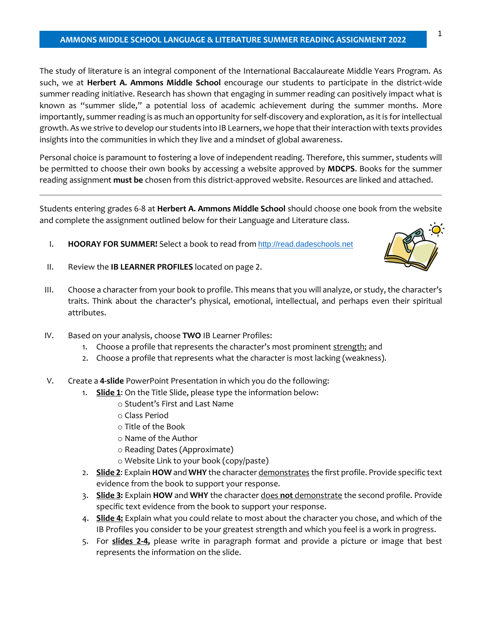#### **AMMONS MIDDLE SCHOOL LANGUAGE & LITERATURE SUMMER READING ASSIGNMENT 2022**

The study of literature is an integral component of the International Baccalaureate Middle Years Program. As such, we at **Herbert A. Ammons Middle School** encourage our students to participate in the district-wide summer reading initiative. Research has shown that engaging in summer reading can positively impact what is known as "summer slide," a potential loss of academic achievement during the summer months. More importantly, summer reading is as much an opportunity for self-discovery and exploration, as it is for intellectual growth. As we strive to develop our students into IB Learners, we hope that their interaction with texts provides insights into the communities in which they live and a mindset of global awareness.

Personal choice is paramount to fostering a love of independent reading. Therefore, this summer, students will be permitted to choose their own books by accessing a website approved by **MDCPS**. Books for the summer reading assignment **must be** chosen from this district-approved website. Resources are linked and attached.

Students entering grades 6-8 at **Herbert A. Ammons Middle School** should choose one book from the website and complete the assignment outlined below for their Language and Literature class.

I. **HOORAY FOR SUMMER!** Select a book to read from [http://read.dadeschools.net](https://nam10.safelinks.protection.outlook.com/?url=http%3A%2F%2Fread.dadeschools.net%2F&data=04%7C01%7C%7Cba568e4d22384d46553608d916545066%7C4578f68f86cd4af9b31793e3826ca0f5%7C0%7C0%7C637565373865912952%7CUnknown%7CTWFpbGZsb3d8eyJWIjoiMC4wLjAwMDAiLCJQIjoiV2luMzIiLCJBTiI6Ik1haWwiLCJXVCI6Mn0%3D%7C1000&sdata=UX7OjFQ2TPrvJ2G2tokrTrDpNCPVEYkq0cn9Y2ORRW8%3D&reserved=0)



- II. Review the **IB LEARNER PROFILES** located on page 2.
- III. Choose a character from your book to profile. This means that you will analyze, or study, the character's traits. Think about the character's physical, emotional, intellectual, and perhaps even their spiritual attributes.
- IV. Based on your analysis, choose **TWO** IB Learner Profiles:
	- 1. Choose a profile that represents the character's most prominent strength; and
	- 2. Choose a profile that represents what the character is most lacking (weakness).
- V. Create a **4-slide** PowerPoint Presentation in which you do the following:
	- 1. **Slide 1**: On the Title Slide, please type the information below:
		- o Student's First and Last Name
		- o Class Period
		- o Title of the Book
		- o Name of the Author
		- o Reading Dates (Approximate)
		- o Website Link to your book (copy/paste)
	- 2. **Slide 2**: Explain **HOW** and **WHY** the character demonstrates the first profile. Provide specific text evidence from the book to support your response.
	- 3. **Slide 3:** Explain **HOW** and **WHY** the character does **not** demonstrate the second profile. Provide specific text evidence from the book to support your response.
	- 4. **Slide 4:** Explain what you could relate to most about the character you chose, and which of the IB Profiles you consider to be your greatest strength and which you feel is a work in progress.
	- 5. For **slides 2-4,** please write in paragraph format and provide a picture or image that best represents the information on the slide.